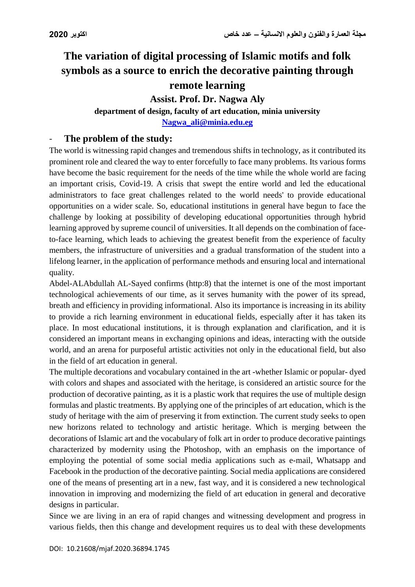## **The variation of digital processing of Islamic motifs and folk symbols as a source to enrich the decorative painting through remote learning**

## **Assist. Prof. Dr. Nagwa Aly**

# **department of design, faculty of art education, minia university**

**[Nagwa\\_ali@minia.edu.eg](mailto:Nagwa_ali@minia.edu.eg)**

## The problem of the study:

The world is witnessing rapid changes and tremendous shifts in technology, as it contributed its prominent role and cleared the way to enter forcefully to face many problems. Its various forms have become the basic requirement for the needs of the time while the whole world are facing an important crisis, Covid-19. A crisis that swept the entire world and led the educational administrators to face great challenges related to the world needs' to provide educational opportunities on a wider scale. So, educational institutions in general have begun to face the challenge by looking at possibility of developing educational opportunities through hybrid learning approved by supreme council of universities. It all depends on the combination of faceto-face learning, which leads to achieving the greatest benefit from the experience of faculty members, the infrastructure of universities and a gradual transformation of the student into a lifelong learner, in the application of performance methods and ensuring local and international quality.

Abdel-ALAbdullah AL-Sayed confirms (http:8) that the internet is one of the most important technological achievements of our time, as it serves humanity with the power of its spread, breath and efficiency in providing informational. Also its importance is increasing in its ability to provide a rich learning environment in educational fields, especially after it has taken its place. In most educational institutions, it is through explanation and clarification, and it is considered an important means in exchanging opinions and ideas, interacting with the outside world, and an arena for purposeful artistic activities not only in the educational field, but also in the field of art education in general.

The multiple decorations and vocabulary contained in the art -whether Islamic or popular- dyed with colors and shapes and associated with the heritage, is considered an artistic source for the production of decorative painting, as it is a plastic work that requires the use of multiple design formulas and plastic treatments. By applying one of the principles of art education, which is the study of heritage with the aim of preserving it from extinction. The current study seeks to open new horizons related to technology and artistic heritage. Which is merging between the decorations of Islamic art and the vocabulary of folk art in order to produce decorative paintings characterized by modernity using the Photoshop, with an emphasis on the importance of employing the potential of some social media applications such as e-mail, Whatsapp and Facebook in the production of the decorative painting. Social media applications are considered one of the means of presenting art in a new, fast way, and it is considered a new technological innovation in improving and modernizing the field of art education in general and decorative designs in particular.

Since we are living in an era of rapid changes and witnessing development and progress in various fields, then this change and development requires us to deal with these developments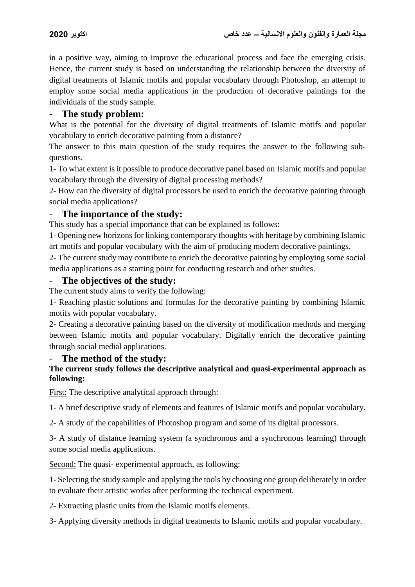in a positive way, aiming to improve the educational process and face the emerging crisis. Hence, the current study is based on understanding the relationship between the diversity of digital treatments of Islamic motifs and popular vocabulary through Photoshop, an attempt to employ some social media applications in the production of decorative paintings for the individuals of the study sample.

#### - **The study problem:**

What is the potential for the diversity of digital treatments of Islamic motifs and popular vocabulary to enrich decorative painting from a distance?

The answer to this main question of the study requires the answer to the following subquestions.

1- To what extent is it possible to produce decorative panel based on Islamic motifs and popular vocabulary through the diversity of digital processing methods?

2- How can the diversity of digital processors be used to enrich the decorative painting through social media applications?

#### The importance of the study:

This study has a special importance that can be explained as follows:

1- Opening new horizons for linking contemporary thoughts with heritage by combining Islamic art motifs and popular vocabulary with the aim of producing modern decorative paintings.

2- The current study may contribute to enrich the decorative painting by employing some social media applications as a starting point for conducting research and other studies.

#### The objectives of the study:

The current study aims to verify the following:

1- Reaching plastic solutions and formulas for the decorative painting by combining Islamic motifs with popular vocabulary.

2- Creating a decorative painting based on the diversity of modification methods and merging between Islamic motifs and popular vocabulary. Digitally enrich the decorative painting through social medial applications.

#### - **The method of the study:**

#### **The current study follows the descriptive analytical and quasi-experimental approach as following:**

First: The descriptive analytical approach through:

1- A brief descriptive study of elements and features of Islamic motifs and popular vocabulary.

2- A study of the capabilities of Photoshop program and some of its digital processors.

3- A study of distance learning system (a synchronous and a synchronous learning) through some social media applications.

Second: The quasi- experimental approach, as following:

1- Selecting the study sample and applying the tools by choosing one group deliberately in order to evaluate their artistic works after performing the technical experiment.

2- Extracting plastic units from the Islamic motifs elements.

3- Applying diversity methods in digital treatments to Islamic motifs and popular vocabulary.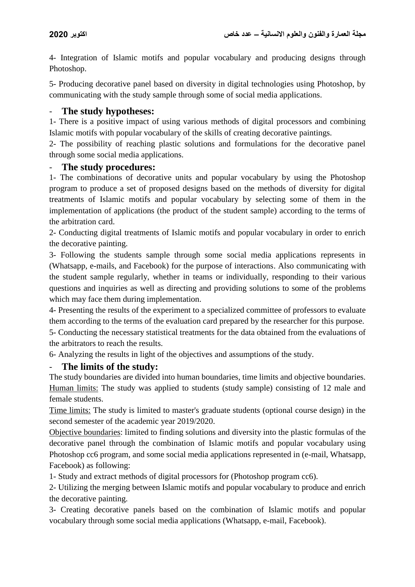4- Integration of Islamic motifs and popular vocabulary and producing designs through Photoshop.

5- Producing decorative panel based on diversity in digital technologies using Photoshop, by communicating with the study sample through some of social media applications.

## - **The study hypotheses:**

1- There is a positive impact of using various methods of digital processors and combining Islamic motifs with popular vocabulary of the skills of creating decorative paintings.

2- The possibility of reaching plastic solutions and formulations for the decorative panel through some social media applications.

## The study procedures:

1- The combinations of decorative units and popular vocabulary by using the Photoshop program to produce a set of proposed designs based on the methods of diversity for digital treatments of Islamic motifs and popular vocabulary by selecting some of them in the implementation of applications (the product of the student sample) according to the terms of the arbitration card.

2- Conducting digital treatments of Islamic motifs and popular vocabulary in order to enrich the decorative painting.

3- Following the students sample through some social media applications represents in (Whatsapp, e-mails, and Facebook) for the purpose of interactions. Also communicating with the student sample regularly, whether in teams or individually, responding to their various questions and inquiries as well as directing and providing solutions to some of the problems which may face them during implementation.

4- Presenting the results of the experiment to a specialized committee of professors to evaluate them according to the terms of the evaluation card prepared by the researcher for this purpose.

5- Conducting the necessary statistical treatments for the data obtained from the evaluations of the arbitrators to reach the results.

6- Analyzing the results in light of the objectives and assumptions of the study.

## - **The limits of the study:**

The study boundaries are divided into human boundaries, time limits and objective boundaries. Human limits: The study was applied to students (study sample) consisting of 12 male and female students.

Time limits: The study is limited to master's graduate students (optional course design) in the second semester of the academic year 2019/2020.

Objective boundaries: limited to finding solutions and diversity into the plastic formulas of the decorative panel through the combination of Islamic motifs and popular vocabulary using Photoshop cc6 program, and some social media applications represented in (e-mail, Whatsapp, Facebook) as following:

1- Study and extract methods of digital processors for (Photoshop program cc6).

2- Utilizing the merging between Islamic motifs and popular vocabulary to produce and enrich the decorative painting.

3- Creating decorative panels based on the combination of Islamic motifs and popular vocabulary through some social media applications (Whatsapp, e-mail, Facebook).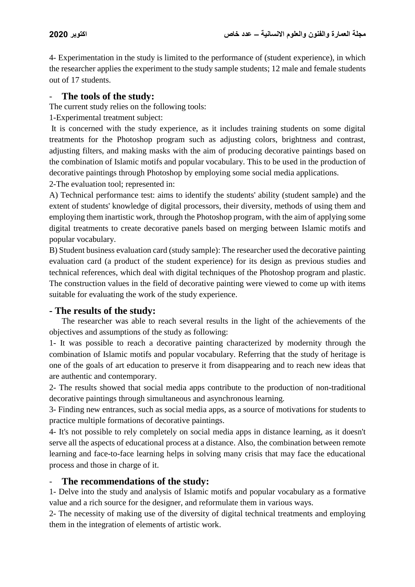4- Experimentation in the study is limited to the performance of (student experience), in which the researcher applies the experiment to the study sample students; 12 male and female students out of 17 students.

#### The tools of the study:

The current study relies on the following tools:

1-Experimental treatment subject:

It is concerned with the study experience, as it includes training students on some digital treatments for the Photoshop program such as adjusting colors, brightness and contrast, adjusting filters, and making masks with the aim of producing decorative paintings based on the combination of Islamic motifs and popular vocabulary. This to be used in the production of decorative paintings through Photoshop by employing some social media applications.

2-The evaluation tool; represented in:

A) Technical performance test: aims to identify the students' ability (student sample) and the extent of students' knowledge of digital processors, their diversity, methods of using them and employing them inartistic work, through the Photoshop program, with the aim of applying some digital treatments to create decorative panels based on merging between Islamic motifs and popular vocabulary.

B) Student business evaluation card (study sample): The researcher used the decorative painting evaluation card (a product of the student experience) for its design as previous studies and technical references, which deal with digital techniques of the Photoshop program and plastic. The construction values in the field of decorative painting were viewed to come up with items suitable for evaluating the work of the study experience.

## **- The results of the study:**

The researcher was able to reach several results in the light of the achievements of the objectives and assumptions of the study as following:

1- It was possible to reach a decorative painting characterized by modernity through the combination of Islamic motifs and popular vocabulary. Referring that the study of heritage is one of the goals of art education to preserve it from disappearing and to reach new ideas that are authentic and contemporary.

2- The results showed that social media apps contribute to the production of non-traditional decorative paintings through simultaneous and asynchronous learning.

3- Finding new entrances, such as social media apps, as a source of motivations for students to practice multiple formations of decorative paintings.

4- It's not possible to rely completely on social media apps in distance learning, as it doesn't serve all the aspects of educational process at a distance. Also, the combination between remote learning and face-to-face learning helps in solving many crisis that may face the educational process and those in charge of it.

## The recommendations of the study:

1- Delve into the study and analysis of Islamic motifs and popular vocabulary as a formative value and a rich source for the designer, and reformulate them in various ways.

2- The necessity of making use of the diversity of digital technical treatments and employing them in the integration of elements of artistic work.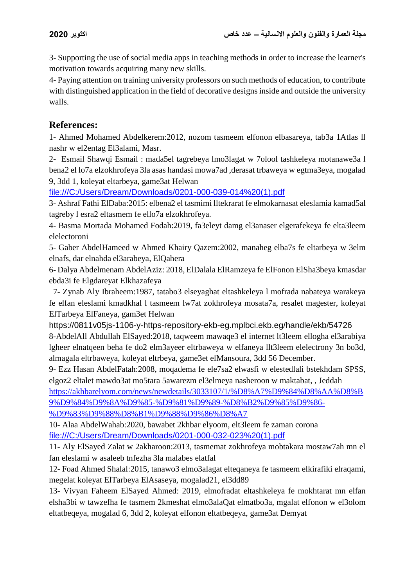3- Supporting the use of social media apps in teaching methods in order to increase the learner's motivation towards acquiring many new skills.

4- Paying attention on training university professors on such methods of education, to contribute with distinguished application in the field of decorative designs inside and outside the university walls.

## **References:**

1- Ahmed Mohamed Abdelkerem:2012, nozom tasmeem elfonon elbasareya, tab3a 1Atlas ll nashr w el2entag El3alami, Masr.

2- Esmail Shawqi Esmail : mada5el tagrebeya lmo3lagat w 7olool tashkeleya motanawe3a l bena2 el lo7a elzokhrofeya 3la asas handasi mowa7ad ,derasat trbaweya w egtma3eya, mogalad 9, 3dd 1, koleyat eltarbeya, game3at Helwan

[file:///C:/Users/Dream/Downloads/0201-000-039-014%20\(1\).pdf](file:///C:/Users/Dream/Downloads/0201-000-039-014%20(1).pdf) 

3- Ashraf Fathi ElDaba:2015: elbena2 el tasmimi lltekrarat fe elmokarnasat eleslamia kamad5al tagreby l esra2 eltasmem fe ello7a elzokhrofeya.

4- Basma Mortada Mohamed Fodah:2019, fa3eleyt damg el3anaser elgerafekeya fe elta3leem elelectoroni

5- Gaber AbdelHameed w Ahmed Khairy Qazem:2002, manaheg elba7s fe eltarbeya w 3elm elnafs, dar elnahda el3arabeya, ElQahera

6**-** Dalya Abdelmenam AbdelAziz: 2018, ElDalala ElRamzeya fe ElFonon ElSha3beya kmasdar ebda3i fe Elgdareyat Elkhazafeya

 7- Zynab Aly Ibraheem:1987, tatabo3 elseyaghat eltashkeleya l mofrada nabateya warakeya fe elfan eleslami kmadkhal l tasmeem lw7at zokhrofeya mosata7a, resalet magester, koleyat ElTarbeya ElFaneya, gam3et Helwan

<https://0811v05js-1106-y-https-repository-ekb-eg.mplbci.ekb.eg/handle/ekb/54726> 8-AbdelAll Abdullah ElSayed:2018, taqweem mawaqe3 el internet lt3leem ellogha el3arabiya lgheer elnatqeen beha fe do2 elm3ayeer eltrbaweya w elfaneya llt3leem elelectrony 3n bo3d, almagala eltrbaweya, koleyat eltrbeya, game3et elMansoura, 3dd 56 December.

9- Ezz Hasan AbdelFatah:2008, moqadema fe ele7sa2 elwasfi w elestedlali bstekhdam SPSS, elgoz2 eltalet mawdo3at mo5tara 5awarezm el3elmeya nasheroon w maktabat, , Jeddah

[https://akhbarelyom.com/news/newdetails/3033107/1/%D8%A7%D9%84%D8%AA%D8%B](https://akhbarelyom.com/news/newdetails/3033107/1/%D8%A7%D9%84%D8%AA%D8%B9%D9%84%D9%8A%D9%85-%D9%81%D9%89-%D8%B2%D9%85%D9%86-%D9%83%D9%88%D8%B1%D9%88%D9%86%D8%A7) [9%D9%84%D9%8A%D9%85-%D9%81%D9%89-%D8%B2%D9%85%D9%86-](https://akhbarelyom.com/news/newdetails/3033107/1/%D8%A7%D9%84%D8%AA%D8%B9%D9%84%D9%8A%D9%85-%D9%81%D9%89-%D8%B2%D9%85%D9%86-%D9%83%D9%88%D8%B1%D9%88%D9%86%D8%A7)

[%D9%83%D9%88%D8%B1%D9%88%D9%86%D8%A7](https://akhbarelyom.com/news/newdetails/3033107/1/%D8%A7%D9%84%D8%AA%D8%B9%D9%84%D9%8A%D9%85-%D9%81%D9%89-%D8%B2%D9%85%D9%86-%D9%83%D9%88%D8%B1%D9%88%D9%86%D8%A7)

10- Alaa AbdelWahab:2020, bawabet 2khbar elyoom, elt3leem fe zaman corona [file:///C:/Users/Dream/Downloads/0201-000-032-023%20\(1\).pdf](file:///C:/Users/Dream/Downloads/0201-000-032-023%20(1).pdf)

11- Aly ElSayed Zalat w 2akharoon:2013, tasmemat zokhrofeya mobtakara mostaw7ah mn el fan eleslami w asaleeb tnfezha 3la malabes elatfal

12- Foad Ahmed Shalal:2015, tanawo3 elmo3alagat elteqaneya fe tasmeem elkirafiki elraqami, megelat koleyat ElTarbeya ElAsaseya, mogalad21, el3dd89

13- Vivyan Faheem ElSayed Ahmed: 2019, elmofradat eltashkeleya fe mokhtarat mn elfan elsha3bi w tawzefha fe tasmem 2kmeshat elmo3alaQat elmatbo3a, mgalat elfonon w el3olom eltatbeqeya, mogalad 6, 3dd 2, koleyat elfonon eltatbeqeya, game3at Demyat